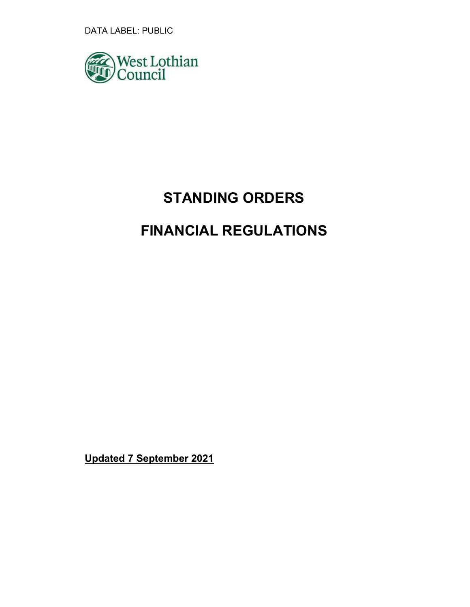DATA LABEL: PUBLIC



# STANDING ORDERS

## FINANCIAL REGULATIONS

Updated 7 September 2021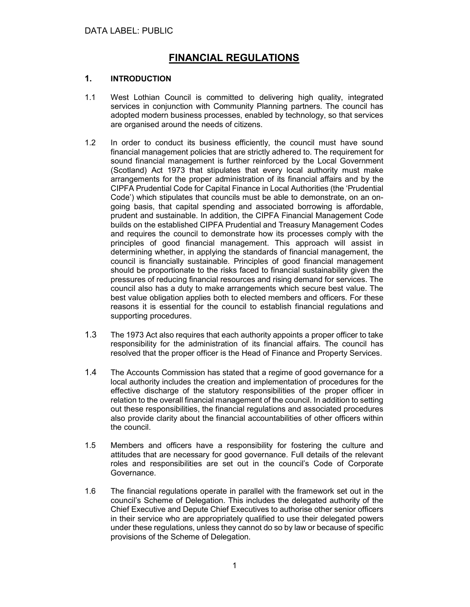## FINANCIAL REGULATIONS

## 1. INTRODUCTION

- 1.1 West Lothian Council is committed to delivering high quality, integrated services in conjunction with Community Planning partners. The council has adopted modern business processes, enabled by technology, so that services are organised around the needs of citizens.
- 1.2 In order to conduct its business efficiently, the council must have sound financial management policies that are strictly adhered to. The requirement for sound financial management is further reinforced by the Local Government (Scotland) Act 1973 that stipulates that every local authority must make arrangements for the proper administration of its financial affairs and by the CIPFA Prudential Code for Capital Finance in Local Authorities (the 'Prudential Code') which stipulates that councils must be able to demonstrate, on an ongoing basis, that capital spending and associated borrowing is affordable, prudent and sustainable. In addition, the CIPFA Financial Management Code builds on the established CIPFA Prudential and Treasury Management Codes and requires the council to demonstrate how its processes comply with the principles of good financial management. This approach will assist in determining whether, in applying the standards of financial management, the council is financially sustainable. Principles of good financial management should be proportionate to the risks faced to financial sustainability given the pressures of reducing financial resources and rising demand for services. The council also has a duty to make arrangements which secure best value. The best value obligation applies both to elected members and officers. For these reasons it is essential for the council to establish financial regulations and supporting procedures.
- 1.3 The 1973 Act also requires that each authority appoints a proper officer to take responsibility for the administration of its financial affairs. The council has resolved that the proper officer is the Head of Finance and Property Services.
- 1.4 The Accounts Commission has stated that a regime of good governance for a local authority includes the creation and implementation of procedures for the effective discharge of the statutory responsibilities of the proper officer in relation to the overall financial management of the council. In addition to setting out these responsibilities, the financial regulations and associated procedures also provide clarity about the financial accountabilities of other officers within the council.
- 1.5 Members and officers have a responsibility for fostering the culture and attitudes that are necessary for good governance. Full details of the relevant roles and responsibilities are set out in the council's Code of Corporate Governance.
- 1.6 The financial regulations operate in parallel with the framework set out in the council's Scheme of Delegation. This includes the delegated authority of the Chief Executive and Depute Chief Executives to authorise other senior officers in their service who are appropriately qualified to use their delegated powers under these regulations, unless they cannot do so by law or because of specific provisions of the Scheme of Delegation.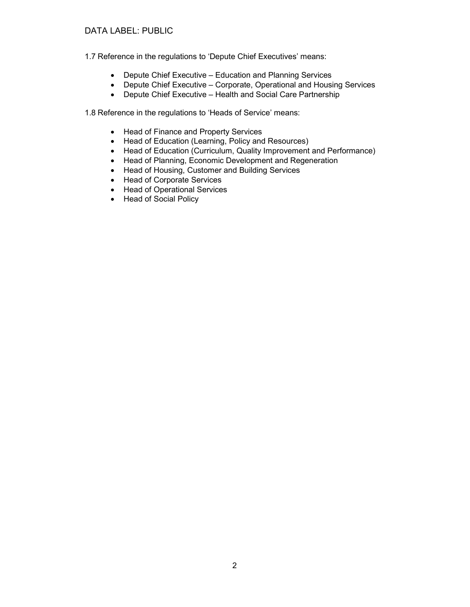## DATA LABEL: PUBLIC

1.7 Reference in the regulations to 'Depute Chief Executives' means:

- Depute Chief Executive Education and Planning Services
- Depute Chief Executive Corporate, Operational and Housing Services
- Depute Chief Executive Health and Social Care Partnership

1.8 Reference in the regulations to 'Heads of Service' means:

- Head of Finance and Property Services
- Head of Education (Learning, Policy and Resources)
- Head of Education (Curriculum, Quality Improvement and Performance)
- Head of Planning, Economic Development and Regeneration
- Head of Housing, Customer and Building Services
- Head of Corporate Services
- Head of Operational Services
- Head of Social Policy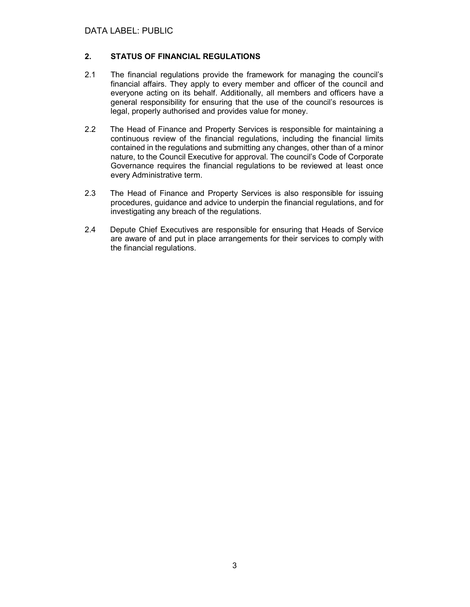## 2. STATUS OF FINANCIAL REGULATIONS

- 2.1 The financial regulations provide the framework for managing the council's financial affairs. They apply to every member and officer of the council and everyone acting on its behalf. Additionally, all members and officers have a general responsibility for ensuring that the use of the council's resources is legal, properly authorised and provides value for money.
- 2.2 The Head of Finance and Property Services is responsible for maintaining a continuous review of the financial regulations, including the financial limits contained in the regulations and submitting any changes, other than of a minor nature, to the Council Executive for approval. The council's Code of Corporate Governance requires the financial regulations to be reviewed at least once every Administrative term.
- 2.3 The Head of Finance and Property Services is also responsible for issuing procedures, guidance and advice to underpin the financial regulations, and for investigating any breach of the regulations.
- 2.4 Depute Chief Executives are responsible for ensuring that Heads of Service are aware of and put in place arrangements for their services to comply with the financial regulations.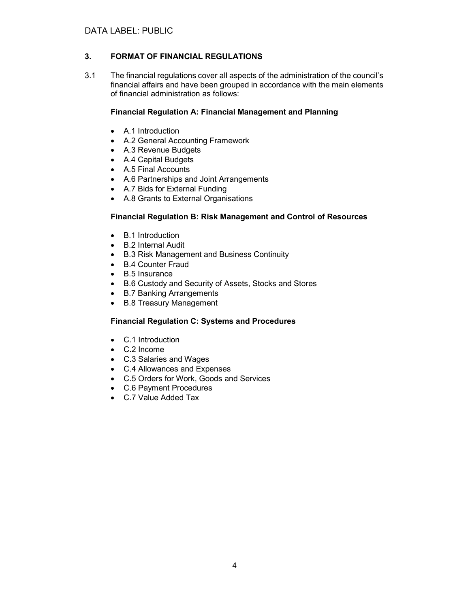## 3. FORMAT OF FINANCIAL REGULATIONS

3.1 The financial regulations cover all aspects of the administration of the council's financial affairs and have been grouped in accordance with the main elements of financial administration as follows:

## Financial Regulation A: Financial Management and Planning

- A.1 Introduction
- A.2 General Accounting Framework
- A.3 Revenue Budgets
- A.4 Capital Budgets
- A.5 Final Accounts
- A.6 Partnerships and Joint Arrangements
- A.7 Bids for External Funding
- A.8 Grants to External Organisations

## Financial Regulation B: Risk Management and Control of Resources

- B.1 Introduction
- B.2 Internal Audit
- B.3 Risk Management and Business Continuity
- B.4 Counter Fraud
- B.5 Insurance
- B.6 Custody and Security of Assets, Stocks and Stores
- B.7 Banking Arrangements
- B.8 Treasury Management

## Financial Regulation C: Systems and Procedures

- C.1 Introduction
- C.2 Income
- C.3 Salaries and Wages
- C.4 Allowances and Expenses
- C.5 Orders for Work, Goods and Services
- C.6 Payment Procedures
- C.7 Value Added Tax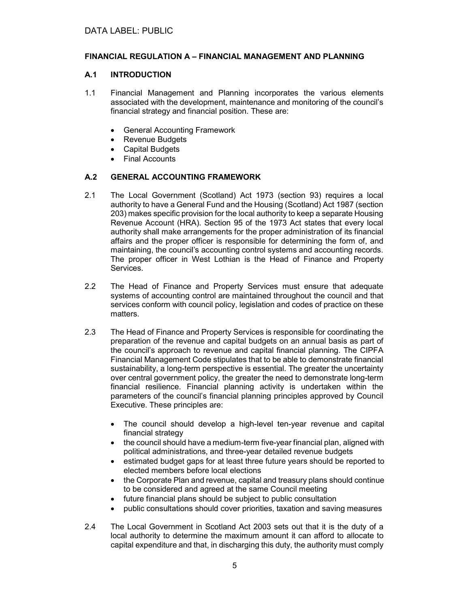## FINANCIAL REGULATION A – FINANCIAL MANAGEMENT AND PLANNING

## A.1 INTRODUCTION

- 1.1 Financial Management and Planning incorporates the various elements associated with the development, maintenance and monitoring of the council's financial strategy and financial position. These are:
	- General Accounting Framework
	- Revenue Budgets
	- Capital Budgets
	- Final Accounts

## A.2 GENERAL ACCOUNTING FRAMEWORK

- 2.1 The Local Government (Scotland) Act 1973 (section 93) requires a local authority to have a General Fund and the Housing (Scotland) Act 1987 (section 203) makes specific provision for the local authority to keep a separate Housing Revenue Account (HRA). Section 95 of the 1973 Act states that every local authority shall make arrangements for the proper administration of its financial affairs and the proper officer is responsible for determining the form of, and maintaining, the council's accounting control systems and accounting records. The proper officer in West Lothian is the Head of Finance and Property Services.
- 2.2 The Head of Finance and Property Services must ensure that adequate systems of accounting control are maintained throughout the council and that services conform with council policy, legislation and codes of practice on these matters.
- 2.3 The Head of Finance and Property Services is responsible for coordinating the preparation of the revenue and capital budgets on an annual basis as part of the council's approach to revenue and capital financial planning. The CIPFA Financial Management Code stipulates that to be able to demonstrate financial sustainability, a long-term perspective is essential. The greater the uncertainty over central government policy, the greater the need to demonstrate long-term financial resilience. Financial planning activity is undertaken within the parameters of the council's financial planning principles approved by Council Executive. These principles are:
	- The council should develop a high-level ten-year revenue and capital financial strategy
	- the council should have a medium-term five-year financial plan, aligned with political administrations, and three-year detailed revenue budgets
	- estimated budget gaps for at least three future years should be reported to elected members before local elections
	- the Corporate Plan and revenue, capital and treasury plans should continue to be considered and agreed at the same Council meeting
	- future financial plans should be subject to public consultation
	- public consultations should cover priorities, taxation and saving measures
- 2.4 The Local Government in Scotland Act 2003 sets out that it is the duty of a local authority to determine the maximum amount it can afford to allocate to capital expenditure and that, in discharging this duty, the authority must comply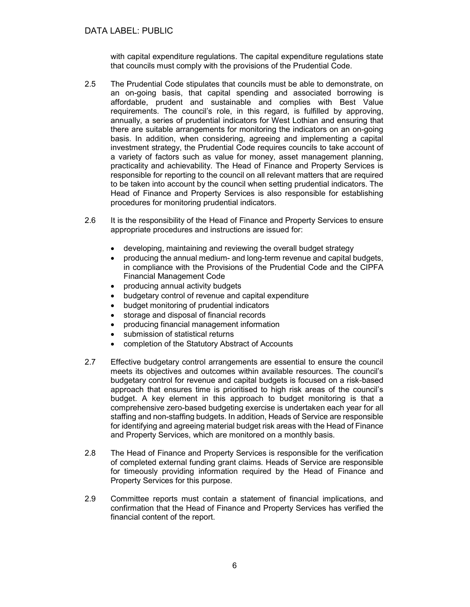with capital expenditure regulations. The capital expenditure regulations state that councils must comply with the provisions of the Prudential Code.

- 2.5 The Prudential Code stipulates that councils must be able to demonstrate, on an on-going basis, that capital spending and associated borrowing is affordable, prudent and sustainable and complies with Best Value requirements. The council's role, in this regard, is fulfilled by approving, annually, a series of prudential indicators for West Lothian and ensuring that there are suitable arrangements for monitoring the indicators on an on-going basis. In addition, when considering, agreeing and implementing a capital investment strategy, the Prudential Code requires councils to take account of a variety of factors such as value for money, asset management planning, practicality and achievability. The Head of Finance and Property Services is responsible for reporting to the council on all relevant matters that are required to be taken into account by the council when setting prudential indicators. The Head of Finance and Property Services is also responsible for establishing procedures for monitoring prudential indicators.
- 2.6 It is the responsibility of the Head of Finance and Property Services to ensure appropriate procedures and instructions are issued for:
	- developing, maintaining and reviewing the overall budget strategy
	- producing the annual medium- and long-term revenue and capital budgets, in compliance with the Provisions of the Prudential Code and the CIPFA Financial Management Code
	- producing annual activity budgets
	- budgetary control of revenue and capital expenditure
	- budget monitoring of prudential indicators
	- storage and disposal of financial records
	- producing financial management information
	- submission of statistical returns
	- completion of the Statutory Abstract of Accounts
- 2.7 Effective budgetary control arrangements are essential to ensure the council meets its objectives and outcomes within available resources. The council's budgetary control for revenue and capital budgets is focused on a risk-based approach that ensures time is prioritised to high risk areas of the council's budget. A key element in this approach to budget monitoring is that a comprehensive zero-based budgeting exercise is undertaken each year for all staffing and non-staffing budgets. In addition, Heads of Service are responsible for identifying and agreeing material budget risk areas with the Head of Finance and Property Services, which are monitored on a monthly basis.
- 2.8 The Head of Finance and Property Services is responsible for the verification of completed external funding grant claims. Heads of Service are responsible for timeously providing information required by the Head of Finance and Property Services for this purpose.
- 2.9 Committee reports must contain a statement of financial implications, and confirmation that the Head of Finance and Property Services has verified the financial content of the report.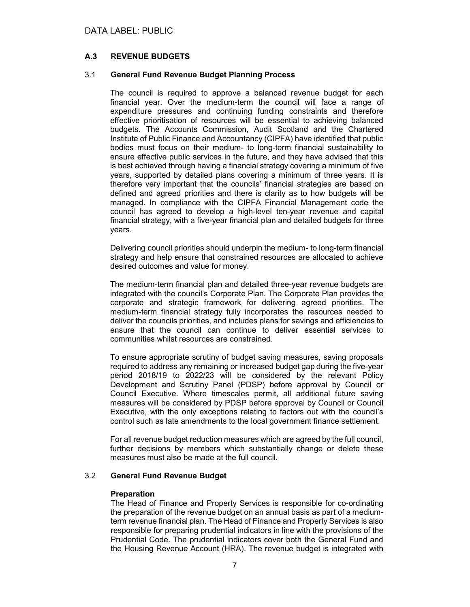## A.3 REVENUE BUDGETS

#### 3.1 General Fund Revenue Budget Planning Process

The council is required to approve a balanced revenue budget for each financial year. Over the medium-term the council will face a range of expenditure pressures and continuing funding constraints and therefore effective prioritisation of resources will be essential to achieving balanced budgets. The Accounts Commission, Audit Scotland and the Chartered Institute of Public Finance and Accountancy (CIPFA) have identified that public bodies must focus on their medium- to long-term financial sustainability to ensure effective public services in the future, and they have advised that this is best achieved through having a financial strategy covering a minimum of five years, supported by detailed plans covering a minimum of three years. It is therefore very important that the councils' financial strategies are based on defined and agreed priorities and there is clarity as to how budgets will be managed. In compliance with the CIPFA Financial Management code the council has agreed to develop a high-level ten-year revenue and capital financial strategy, with a five-year financial plan and detailed budgets for three years.

Delivering council priorities should underpin the medium- to long-term financial strategy and help ensure that constrained resources are allocated to achieve desired outcomes and value for money.

The medium-term financial plan and detailed three-year revenue budgets are integrated with the council's Corporate Plan. The Corporate Plan provides the corporate and strategic framework for delivering agreed priorities. The medium-term financial strategy fully incorporates the resources needed to deliver the councils priorities, and includes plans for savings and efficiencies to ensure that the council can continue to deliver essential services to communities whilst resources are constrained.

To ensure appropriate scrutiny of budget saving measures, saving proposals required to address any remaining or increased budget gap during the five-year period 2018/19 to 2022/23 will be considered by the relevant Policy Development and Scrutiny Panel (PDSP) before approval by Council or Council Executive. Where timescales permit, all additional future saving measures will be considered by PDSP before approval by Council or Council Executive, with the only exceptions relating to factors out with the council's control such as late amendments to the local government finance settlement.

For all revenue budget reduction measures which are agreed by the full council, further decisions by members which substantially change or delete these measures must also be made at the full council.

#### 3.2 General Fund Revenue Budget

#### **Preparation**

The Head of Finance and Property Services is responsible for co-ordinating the preparation of the revenue budget on an annual basis as part of a mediumterm revenue financial plan. The Head of Finance and Property Services is also responsible for preparing prudential indicators in line with the provisions of the Prudential Code. The prudential indicators cover both the General Fund and the Housing Revenue Account (HRA). The revenue budget is integrated with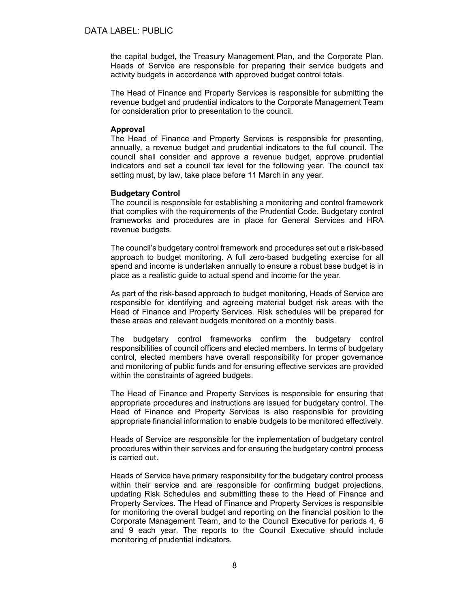the capital budget, the Treasury Management Plan, and the Corporate Plan. Heads of Service are responsible for preparing their service budgets and activity budgets in accordance with approved budget control totals.

The Head of Finance and Property Services is responsible for submitting the revenue budget and prudential indicators to the Corporate Management Team for consideration prior to presentation to the council.

#### Approval

The Head of Finance and Property Services is responsible for presenting, annually, a revenue budget and prudential indicators to the full council. The council shall consider and approve a revenue budget, approve prudential indicators and set a council tax level for the following year. The council tax setting must, by law, take place before 11 March in any year.

#### Budgetary Control

The council is responsible for establishing a monitoring and control framework that complies with the requirements of the Prudential Code. Budgetary control frameworks and procedures are in place for General Services and HRA revenue budgets.

The council's budgetary control framework and procedures set out a risk-based approach to budget monitoring. A full zero-based budgeting exercise for all spend and income is undertaken annually to ensure a robust base budget is in place as a realistic guide to actual spend and income for the year.

As part of the risk-based approach to budget monitoring, Heads of Service are responsible for identifying and agreeing material budget risk areas with the Head of Finance and Property Services. Risk schedules will be prepared for these areas and relevant budgets monitored on a monthly basis.

The budgetary control frameworks confirm the budgetary control responsibilities of council officers and elected members. In terms of budgetary control, elected members have overall responsibility for proper governance and monitoring of public funds and for ensuring effective services are provided within the constraints of agreed budgets.

The Head of Finance and Property Services is responsible for ensuring that appropriate procedures and instructions are issued for budgetary control. The Head of Finance and Property Services is also responsible for providing appropriate financial information to enable budgets to be monitored effectively.

Heads of Service are responsible for the implementation of budgetary control procedures within their services and for ensuring the budgetary control process is carried out.

Heads of Service have primary responsibility for the budgetary control process within their service and are responsible for confirming budget projections, updating Risk Schedules and submitting these to the Head of Finance and Property Services. The Head of Finance and Property Services is responsible for monitoring the overall budget and reporting on the financial position to the Corporate Management Team, and to the Council Executive for periods 4, 6 and 9 each year. The reports to the Council Executive should include monitoring of prudential indicators.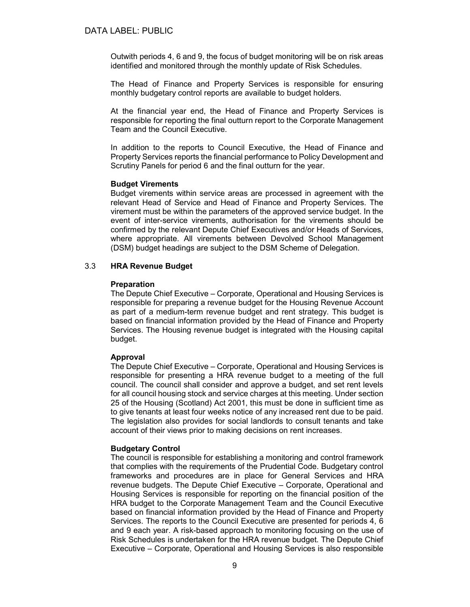Outwith periods 4, 6 and 9, the focus of budget monitoring will be on risk areas identified and monitored through the monthly update of Risk Schedules.

The Head of Finance and Property Services is responsible for ensuring monthly budgetary control reports are available to budget holders.

At the financial year end, the Head of Finance and Property Services is responsible for reporting the final outturn report to the Corporate Management Team and the Council Executive.

In addition to the reports to Council Executive, the Head of Finance and Property Services reports the financial performance to Policy Development and Scrutiny Panels for period 6 and the final outturn for the year.

#### Budget Virements

Budget virements within service areas are processed in agreement with the relevant Head of Service and Head of Finance and Property Services. The virement must be within the parameters of the approved service budget. In the event of inter-service virements, authorisation for the virements should be confirmed by the relevant Depute Chief Executives and/or Heads of Services, where appropriate. All virements between Devolved School Management (DSM) budget headings are subject to the DSM Scheme of Delegation.

## 3.3 HRA Revenue Budget

#### Preparation

The Depute Chief Executive – Corporate, Operational and Housing Services is responsible for preparing a revenue budget for the Housing Revenue Account as part of a medium-term revenue budget and rent strategy. This budget is based on financial information provided by the Head of Finance and Property Services. The Housing revenue budget is integrated with the Housing capital budget.

#### Approval

The Depute Chief Executive – Corporate, Operational and Housing Services is responsible for presenting a HRA revenue budget to a meeting of the full council. The council shall consider and approve a budget, and set rent levels for all council housing stock and service charges at this meeting. Under section 25 of the Housing (Scotland) Act 2001, this must be done in sufficient time as to give tenants at least four weeks notice of any increased rent due to be paid. The legislation also provides for social landlords to consult tenants and take account of their views prior to making decisions on rent increases.

#### Budgetary Control

The council is responsible for establishing a monitoring and control framework that complies with the requirements of the Prudential Code. Budgetary control frameworks and procedures are in place for General Services and HRA revenue budgets. The Depute Chief Executive – Corporate, Operational and Housing Services is responsible for reporting on the financial position of the HRA budget to the Corporate Management Team and the Council Executive based on financial information provided by the Head of Finance and Property Services. The reports to the Council Executive are presented for periods 4, 6 and 9 each year. A risk-based approach to monitoring focusing on the use of Risk Schedules is undertaken for the HRA revenue budget. The Depute Chief Executive – Corporate, Operational and Housing Services is also responsible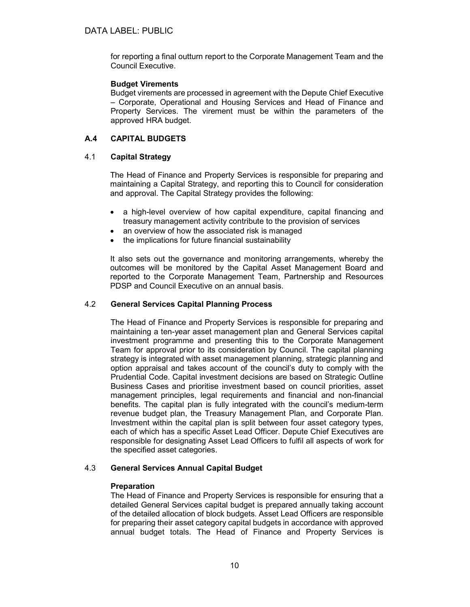for reporting a final outturn report to the Corporate Management Team and the Council Executive.

## Budget Virements

Budget virements are processed in agreement with the Depute Chief Executive – Corporate, Operational and Housing Services and Head of Finance and Property Services. The virement must be within the parameters of the approved HRA budget.

## A.4 CAPITAL BUDGETS

## 4.1 Capital Strategy

The Head of Finance and Property Services is responsible for preparing and maintaining a Capital Strategy, and reporting this to Council for consideration and approval. The Capital Strategy provides the following:

- a high-level overview of how capital expenditure, capital financing and treasury management activity contribute to the provision of services
- an overview of how the associated risk is managed
- the implications for future financial sustainability

It also sets out the governance and monitoring arrangements, whereby the outcomes will be monitored by the Capital Asset Management Board and reported to the Corporate Management Team, Partnership and Resources PDSP and Council Executive on an annual basis.

#### 4.2 General Services Capital Planning Process

The Head of Finance and Property Services is responsible for preparing and maintaining a ten-year asset management plan and General Services capital investment programme and presenting this to the Corporate Management Team for approval prior to its consideration by Council. The capital planning strategy is integrated with asset management planning, strategic planning and option appraisal and takes account of the council's duty to comply with the Prudential Code. Capital investment decisions are based on Strategic Outline Business Cases and prioritise investment based on council priorities, asset management principles, legal requirements and financial and non-financial benefits. The capital plan is fully integrated with the council's medium-term revenue budget plan, the Treasury Management Plan, and Corporate Plan. Investment within the capital plan is split between four asset category types, each of which has a specific Asset Lead Officer. Depute Chief Executives are responsible for designating Asset Lead Officers to fulfil all aspects of work for the specified asset categories.

## 4.3 General Services Annual Capital Budget

## **Preparation**

The Head of Finance and Property Services is responsible for ensuring that a detailed General Services capital budget is prepared annually taking account of the detailed allocation of block budgets. Asset Lead Officers are responsible for preparing their asset category capital budgets in accordance with approved annual budget totals. The Head of Finance and Property Services is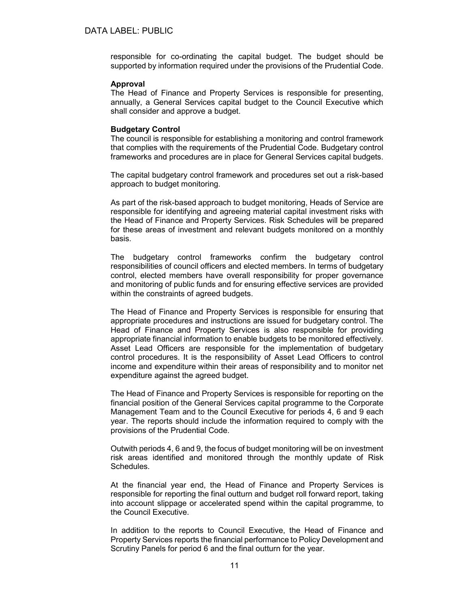responsible for co-ordinating the capital budget. The budget should be supported by information required under the provisions of the Prudential Code.

#### Approval

The Head of Finance and Property Services is responsible for presenting, annually, a General Services capital budget to the Council Executive which shall consider and approve a budget.

#### Budgetary Control

The council is responsible for establishing a monitoring and control framework that complies with the requirements of the Prudential Code. Budgetary control frameworks and procedures are in place for General Services capital budgets.

The capital budgetary control framework and procedures set out a risk-based approach to budget monitoring.

As part of the risk-based approach to budget monitoring, Heads of Service are responsible for identifying and agreeing material capital investment risks with the Head of Finance and Property Services. Risk Schedules will be prepared for these areas of investment and relevant budgets monitored on a monthly basis.

The budgetary control frameworks confirm the budgetary control responsibilities of council officers and elected members. In terms of budgetary control, elected members have overall responsibility for proper governance and monitoring of public funds and for ensuring effective services are provided within the constraints of agreed budgets.

The Head of Finance and Property Services is responsible for ensuring that appropriate procedures and instructions are issued for budgetary control. The Head of Finance and Property Services is also responsible for providing appropriate financial information to enable budgets to be monitored effectively. Asset Lead Officers are responsible for the implementation of budgetary control procedures. It is the responsibility of Asset Lead Officers to control income and expenditure within their areas of responsibility and to monitor net expenditure against the agreed budget.

The Head of Finance and Property Services is responsible for reporting on the financial position of the General Services capital programme to the Corporate Management Team and to the Council Executive for periods 4, 6 and 9 each year. The reports should include the information required to comply with the provisions of the Prudential Code.

Outwith periods 4, 6 and 9, the focus of budget monitoring will be on investment risk areas identified and monitored through the monthly update of Risk Schedules.

At the financial year end, the Head of Finance and Property Services is responsible for reporting the final outturn and budget roll forward report, taking into account slippage or accelerated spend within the capital programme, to the Council Executive.

In addition to the reports to Council Executive, the Head of Finance and Property Services reports the financial performance to Policy Development and Scrutiny Panels for period 6 and the final outturn for the year.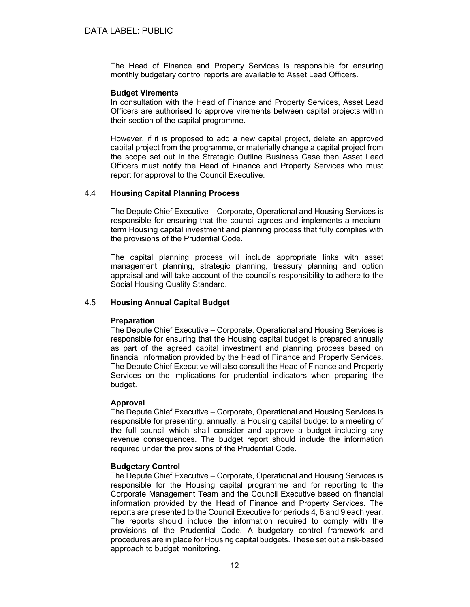The Head of Finance and Property Services is responsible for ensuring monthly budgetary control reports are available to Asset Lead Officers.

#### Budget Virements

In consultation with the Head of Finance and Property Services, Asset Lead Officers are authorised to approve virements between capital projects within their section of the capital programme.

However, if it is proposed to add a new capital project, delete an approved capital project from the programme, or materially change a capital project from the scope set out in the Strategic Outline Business Case then Asset Lead Officers must notify the Head of Finance and Property Services who must report for approval to the Council Executive.

## 4.4 Housing Capital Planning Process

The Depute Chief Executive – Corporate, Operational and Housing Services is responsible for ensuring that the council agrees and implements a mediumterm Housing capital investment and planning process that fully complies with the provisions of the Prudential Code.

The capital planning process will include appropriate links with asset management planning, strategic planning, treasury planning and option appraisal and will take account of the council's responsibility to adhere to the Social Housing Quality Standard.

## 4.5 Housing Annual Capital Budget

## **Preparation**

The Depute Chief Executive – Corporate, Operational and Housing Services is responsible for ensuring that the Housing capital budget is prepared annually as part of the agreed capital investment and planning process based on financial information provided by the Head of Finance and Property Services. The Depute Chief Executive will also consult the Head of Finance and Property Services on the implications for prudential indicators when preparing the budget.

#### Approval

The Depute Chief Executive – Corporate, Operational and Housing Services is responsible for presenting, annually, a Housing capital budget to a meeting of the full council which shall consider and approve a budget including any revenue consequences. The budget report should include the information required under the provisions of the Prudential Code.

#### Budgetary Control

The Depute Chief Executive – Corporate, Operational and Housing Services is responsible for the Housing capital programme and for reporting to the Corporate Management Team and the Council Executive based on financial information provided by the Head of Finance and Property Services. The reports are presented to the Council Executive for periods 4, 6 and 9 each year. The reports should include the information required to comply with the provisions of the Prudential Code. A budgetary control framework and procedures are in place for Housing capital budgets. These set out a risk-based approach to budget monitoring.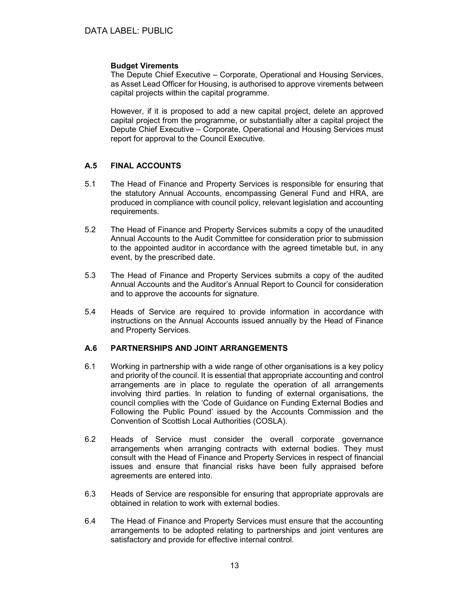## Budget Virements

The Depute Chief Executive – Corporate, Operational and Housing Services, as Asset Lead Officer for Housing, is authorised to approve virements between capital projects within the capital programme.

However, if it is proposed to add a new capital project, delete an approved capital project from the programme, or substantially alter a capital project the Depute Chief Executive – Corporate, Operational and Housing Services must report for approval to the Council Executive.

## A.5 FINAL ACCOUNTS

- 5.1 The Head of Finance and Property Services is responsible for ensuring that the statutory Annual Accounts, encompassing General Fund and HRA, are produced in compliance with council policy, relevant legislation and accounting requirements.
- 5.2 The Head of Finance and Property Services submits a copy of the unaudited Annual Accounts to the Audit Committee for consideration prior to submission to the appointed auditor in accordance with the agreed timetable but, in any event, by the prescribed date.
- 5.3 The Head of Finance and Property Services submits a copy of the audited Annual Accounts and the Auditor's Annual Report to Council for consideration and to approve the accounts for signature.
- 5.4 Heads of Service are required to provide information in accordance with instructions on the Annual Accounts issued annually by the Head of Finance and Property Services.

## A.6 PARTNERSHIPS AND JOINT ARRANGEMENTS

- 6.1 Working in partnership with a wide range of other organisations is a key policy and priority of the council. It is essential that appropriate accounting and control arrangements are in place to regulate the operation of all arrangements involving third parties. In relation to funding of external organisations, the council complies with the 'Code of Guidance on Funding External Bodies and Following the Public Pound' issued by the Accounts Commission and the Convention of Scottish Local Authorities (COSLA).
- 6.2 Heads of Service must consider the overall corporate governance arrangements when arranging contracts with external bodies. They must consult with the Head of Finance and Property Services in respect of financial issues and ensure that financial risks have been fully appraised before agreements are entered into.
- 6.3 Heads of Service are responsible for ensuring that appropriate approvals are obtained in relation to work with external bodies.
- 6.4 The Head of Finance and Property Services must ensure that the accounting arrangements to be adopted relating to partnerships and joint ventures are satisfactory and provide for effective internal control.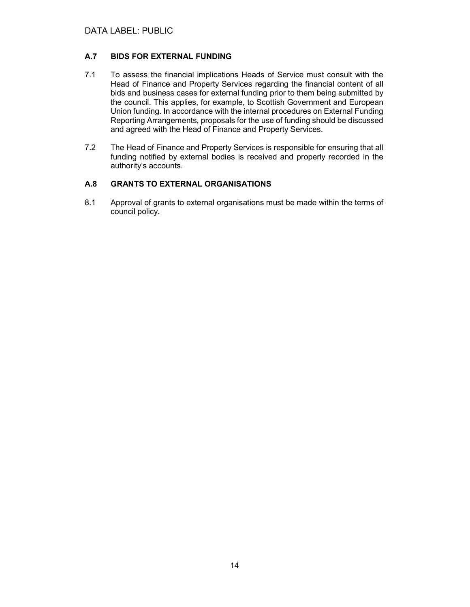## A.7 BIDS FOR EXTERNAL FUNDING

- 7.1 To assess the financial implications Heads of Service must consult with the Head of Finance and Property Services regarding the financial content of all bids and business cases for external funding prior to them being submitted by the council. This applies, for example, to Scottish Government and European Union funding. In accordance with the internal procedures on External Funding Reporting Arrangements, proposals for the use of funding should be discussed and agreed with the Head of Finance and Property Services.
- 7.2 The Head of Finance and Property Services is responsible for ensuring that all funding notified by external bodies is received and properly recorded in the authority's accounts.

## A.8 GRANTS TO EXTERNAL ORGANISATIONS

8.1 Approval of grants to external organisations must be made within the terms of council policy.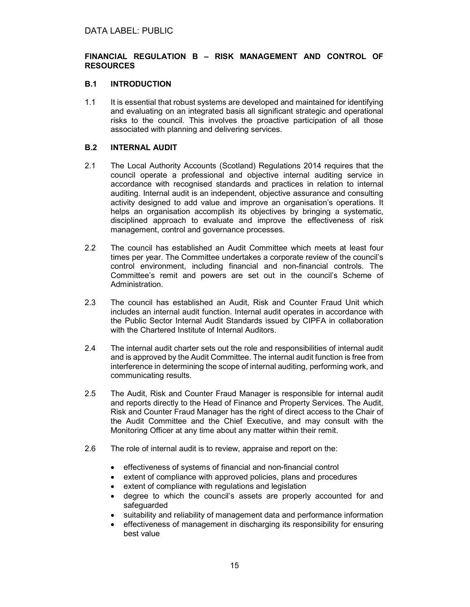## FINANCIAL REGULATION B – RISK MANAGEMENT AND CONTROL OF RESOURCES

## B.1 INTRODUCTION

1.1 It is essential that robust systems are developed and maintained for identifying and evaluating on an integrated basis all significant strategic and operational risks to the council. This involves the proactive participation of all those associated with planning and delivering services.

## B.2 INTERNAL AUDIT

- 2.1 The Local Authority Accounts (Scotland) Regulations 2014 requires that the council operate a professional and objective internal auditing service in accordance with recognised standards and practices in relation to internal auditing. Internal audit is an independent, objective assurance and consulting activity designed to add value and improve an organisation's operations. It helps an organisation accomplish its objectives by bringing a systematic, disciplined approach to evaluate and improve the effectiveness of risk management, control and governance processes.
- 2.2 The council has established an Audit Committee which meets at least four times per year. The Committee undertakes a corporate review of the council's control environment, including financial and non-financial controls. The Committee's remit and powers are set out in the council's Scheme of Administration.
- 2.3 The council has established an Audit, Risk and Counter Fraud Unit which includes an internal audit function. Internal audit operates in accordance with the Public Sector Internal Audit Standards issued by CIPFA in collaboration with the Chartered Institute of Internal Auditors.
- 2.4 The internal audit charter sets out the role and responsibilities of internal audit and is approved by the Audit Committee. The internal audit function is free from interference in determining the scope of internal auditing, performing work, and communicating results.
- 2.5 The Audit, Risk and Counter Fraud Manager is responsible for internal audit and reports directly to the Head of Finance and Property Services. The Audit, Risk and Counter Fraud Manager has the right of direct access to the Chair of the Audit Committee and the Chief Executive, and may consult with the Monitoring Officer at any time about any matter within their remit.
- 2.6 The role of internal audit is to review, appraise and report on the:
	- effectiveness of systems of financial and non-financial control
	- extent of compliance with approved policies, plans and procedures
	- extent of compliance with regulations and legislation
	- degree to which the council's assets are properly accounted for and safeguarded
	- suitability and reliability of management data and performance information
	- effectiveness of management in discharging its responsibility for ensuring best value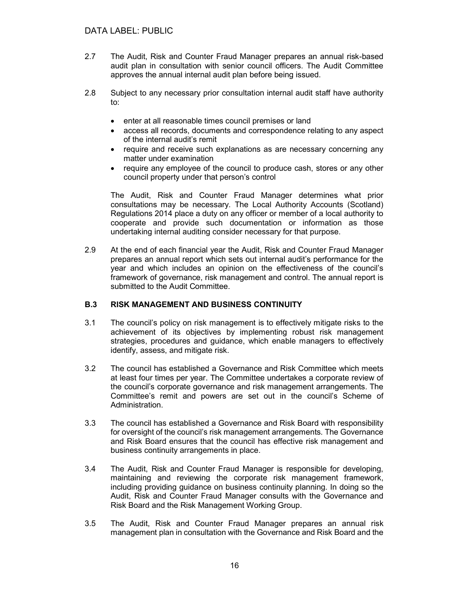- 2.7 The Audit, Risk and Counter Fraud Manager prepares an annual risk-based audit plan in consultation with senior council officers. The Audit Committee approves the annual internal audit plan before being issued.
- 2.8 Subject to any necessary prior consultation internal audit staff have authority to:
	- enter at all reasonable times council premises or land
	- access all records, documents and correspondence relating to any aspect of the internal audit's remit
	- require and receive such explanations as are necessary concerning any matter under examination
	- require any employee of the council to produce cash, stores or any other council property under that person's control

The Audit, Risk and Counter Fraud Manager determines what prior consultations may be necessary. The Local Authority Accounts (Scotland) Regulations 2014 place a duty on any officer or member of a local authority to cooperate and provide such documentation or information as those undertaking internal auditing consider necessary for that purpose.

2.9 At the end of each financial year the Audit, Risk and Counter Fraud Manager prepares an annual report which sets out internal audit's performance for the year and which includes an opinion on the effectiveness of the council's framework of governance, risk management and control. The annual report is submitted to the Audit Committee.

## B.3 RISK MANAGEMENT AND BUSINESS CONTINUITY

- 3.1 The council's policy on risk management is to effectively mitigate risks to the achievement of its objectives by implementing robust risk management strategies, procedures and guidance, which enable managers to effectively identify, assess, and mitigate risk.
- 3.2 The council has established a Governance and Risk Committee which meets at least four times per year. The Committee undertakes a corporate review of the council's corporate governance and risk management arrangements. The Committee's remit and powers are set out in the council's Scheme of Administration.
- 3.3 The council has established a Governance and Risk Board with responsibility for oversight of the council's risk management arrangements. The Governance and Risk Board ensures that the council has effective risk management and business continuity arrangements in place.
- 3.4 The Audit, Risk and Counter Fraud Manager is responsible for developing, maintaining and reviewing the corporate risk management framework, including providing guidance on business continuity planning. In doing so the Audit, Risk and Counter Fraud Manager consults with the Governance and Risk Board and the Risk Management Working Group.
- 3.5 The Audit, Risk and Counter Fraud Manager prepares an annual risk management plan in consultation with the Governance and Risk Board and the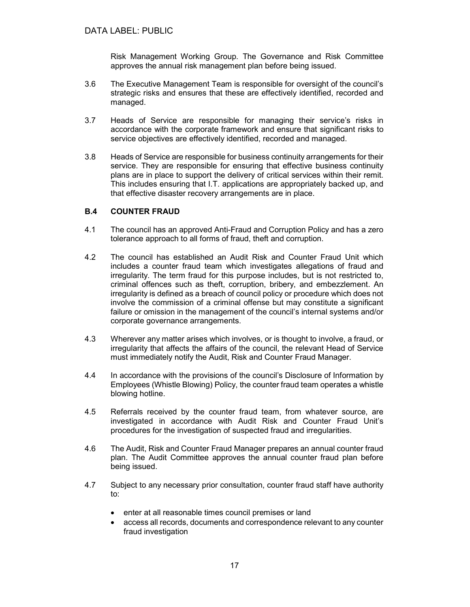Risk Management Working Group. The Governance and Risk Committee approves the annual risk management plan before being issued.

- 3.6 The Executive Management Team is responsible for oversight of the council's strategic risks and ensures that these are effectively identified, recorded and managed.
- 3.7 Heads of Service are responsible for managing their service's risks in accordance with the corporate framework and ensure that significant risks to service objectives are effectively identified, recorded and managed.
- 3.8 Heads of Service are responsible for business continuity arrangements for their service. They are responsible for ensuring that effective business continuity plans are in place to support the delivery of critical services within their remit. This includes ensuring that I.T. applications are appropriately backed up, and that effective disaster recovery arrangements are in place.

#### B.4 COUNTER FRAUD

- 4.1 The council has an approved Anti-Fraud and Corruption Policy and has a zero tolerance approach to all forms of fraud, theft and corruption.
- 4.2 The council has established an Audit Risk and Counter Fraud Unit which includes a counter fraud team which investigates allegations of fraud and irregularity. The term fraud for this purpose includes, but is not restricted to, criminal offences such as theft, corruption, bribery, and embezzlement. An irregularity is defined as a breach of council policy or procedure which does not involve the commission of a criminal offense but may constitute a significant failure or omission in the management of the council's internal systems and/or corporate governance arrangements.
- 4.3 Wherever any matter arises which involves, or is thought to involve, a fraud, or irregularity that affects the affairs of the council, the relevant Head of Service must immediately notify the Audit, Risk and Counter Fraud Manager.
- 4.4 In accordance with the provisions of the council's Disclosure of Information by Employees (Whistle Blowing) Policy, the counter fraud team operates a whistle blowing hotline.
- 4.5 Referrals received by the counter fraud team, from whatever source, are investigated in accordance with Audit Risk and Counter Fraud Unit's procedures for the investigation of suspected fraud and irregularities.
- 4.6 The Audit, Risk and Counter Fraud Manager prepares an annual counter fraud plan. The Audit Committee approves the annual counter fraud plan before being issued.
- 4.7 Subject to any necessary prior consultation, counter fraud staff have authority to:
	- enter at all reasonable times council premises or land
	- access all records, documents and correspondence relevant to any counter fraud investigation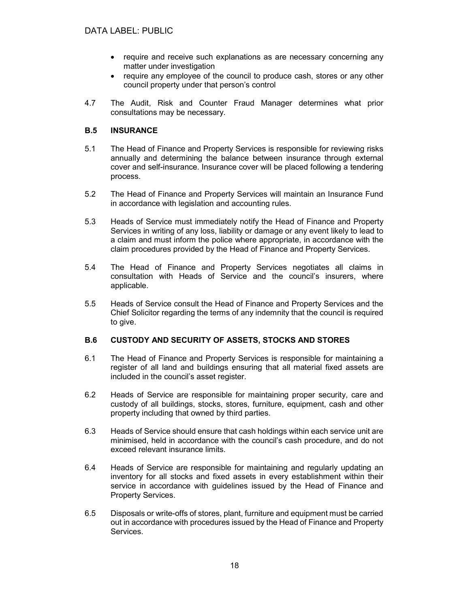- require and receive such explanations as are necessary concerning any matter under investigation
- require any employee of the council to produce cash, stores or any other council property under that person's control
- 4.7 The Audit, Risk and Counter Fraud Manager determines what prior consultations may be necessary.

## B.5 INSURANCE

- 5.1 The Head of Finance and Property Services is responsible for reviewing risks annually and determining the balance between insurance through external cover and self-insurance. Insurance cover will be placed following a tendering process.
- 5.2 The Head of Finance and Property Services will maintain an Insurance Fund in accordance with legislation and accounting rules.
- 5.3 Heads of Service must immediately notify the Head of Finance and Property Services in writing of any loss, liability or damage or any event likely to lead to a claim and must inform the police where appropriate, in accordance with the claim procedures provided by the Head of Finance and Property Services.
- 5.4 The Head of Finance and Property Services negotiates all claims in consultation with Heads of Service and the council's insurers, where applicable.
- 5.5 Heads of Service consult the Head of Finance and Property Services and the Chief Solicitor regarding the terms of any indemnity that the council is required to give.

## B.6 CUSTODY AND SECURITY OF ASSETS, STOCKS AND STORES

- 6.1 The Head of Finance and Property Services is responsible for maintaining a register of all land and buildings ensuring that all material fixed assets are included in the council's asset register.
- 6.2 Heads of Service are responsible for maintaining proper security, care and custody of all buildings, stocks, stores, furniture, equipment, cash and other property including that owned by third parties.
- 6.3 Heads of Service should ensure that cash holdings within each service unit are minimised, held in accordance with the council's cash procedure, and do not exceed relevant insurance limits.
- 6.4 Heads of Service are responsible for maintaining and regularly updating an inventory for all stocks and fixed assets in every establishment within their service in accordance with guidelines issued by the Head of Finance and Property Services.
- 6.5 Disposals or write-offs of stores, plant, furniture and equipment must be carried out in accordance with procedures issued by the Head of Finance and Property Services.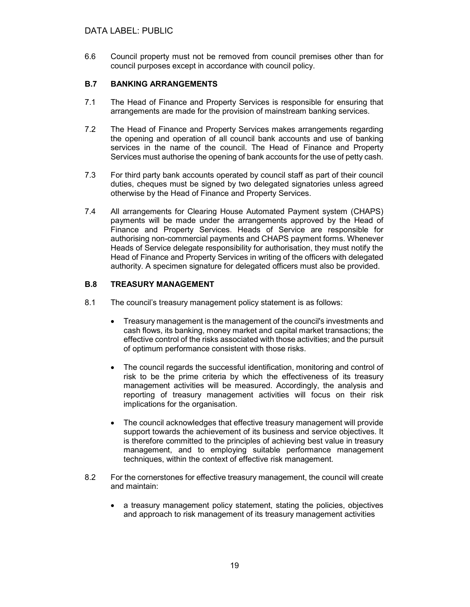6.6 Council property must not be removed from council premises other than for council purposes except in accordance with council policy.

## B.7 BANKING ARRANGEMENTS

- 7.1 The Head of Finance and Property Services is responsible for ensuring that arrangements are made for the provision of mainstream banking services.
- 7.2 The Head of Finance and Property Services makes arrangements regarding the opening and operation of all council bank accounts and use of banking services in the name of the council. The Head of Finance and Property Services must authorise the opening of bank accounts for the use of petty cash.
- 7.3 For third party bank accounts operated by council staff as part of their council duties, cheques must be signed by two delegated signatories unless agreed otherwise by the Head of Finance and Property Services.
- 7.4 All arrangements for Clearing House Automated Payment system (CHAPS) payments will be made under the arrangements approved by the Head of Finance and Property Services. Heads of Service are responsible for authorising non-commercial payments and CHAPS payment forms. Whenever Heads of Service delegate responsibility for authorisation, they must notify the Head of Finance and Property Services in writing of the officers with delegated authority. A specimen signature for delegated officers must also be provided.

## B.8 TREASURY MANAGEMENT

- 8.1 The council's treasury management policy statement is as follows:
	- Treasury management is the management of the council's investments and cash flows, its banking, money market and capital market transactions; the effective control of the risks associated with those activities; and the pursuit of optimum performance consistent with those risks.
	- The council regards the successful identification, monitoring and control of risk to be the prime criteria by which the effectiveness of its treasury management activities will be measured. Accordingly, the analysis and reporting of treasury management activities will focus on their risk implications for the organisation.
	- The council acknowledges that effective treasury management will provide support towards the achievement of its business and service objectives. It is therefore committed to the principles of achieving best value in treasury management, and to employing suitable performance management techniques, within the context of effective risk management.
- 8.2 For the cornerstones for effective treasury management, the council will create and maintain:
	- a treasury management policy statement, stating the policies, objectives and approach to risk management of its treasury management activities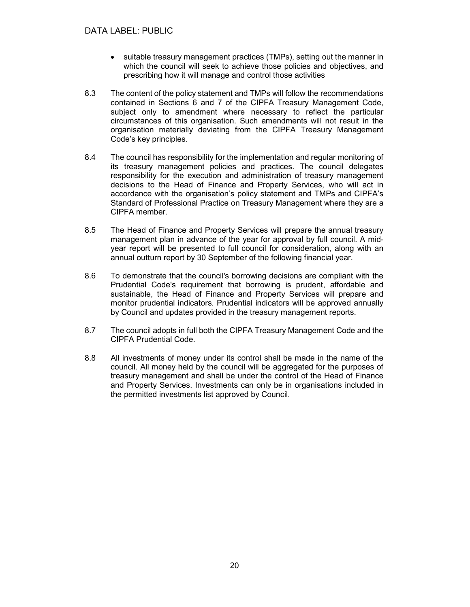- suitable treasury management practices (TMPs), setting out the manner in which the council will seek to achieve those policies and objectives, and prescribing how it will manage and control those activities
- 8.3 The content of the policy statement and TMPs will follow the recommendations contained in Sections 6 and 7 of the CIPFA Treasury Management Code, subject only to amendment where necessary to reflect the particular circumstances of this organisation. Such amendments will not result in the organisation materially deviating from the CIPFA Treasury Management Code's key principles.
- 8.4 The council has responsibility for the implementation and regular monitoring of its treasury management policies and practices. The council delegates responsibility for the execution and administration of treasury management decisions to the Head of Finance and Property Services, who will act in accordance with the organisation's policy statement and TMPs and CIPFA's Standard of Professional Practice on Treasury Management where they are a CIPFA member.
- 8.5 The Head of Finance and Property Services will prepare the annual treasury management plan in advance of the year for approval by full council. A midyear report will be presented to full council for consideration, along with an annual outturn report by 30 September of the following financial year.
- 8.6 To demonstrate that the council's borrowing decisions are compliant with the Prudential Code's requirement that borrowing is prudent, affordable and sustainable, the Head of Finance and Property Services will prepare and monitor prudential indicators. Prudential indicators will be approved annually by Council and updates provided in the treasury management reports.
- 8.7 The council adopts in full both the CIPFA Treasury Management Code and the CIPFA Prudential Code.
- 8.8 All investments of money under its control shall be made in the name of the council. All money held by the council will be aggregated for the purposes of treasury management and shall be under the control of the Head of Finance and Property Services. Investments can only be in organisations included in the permitted investments list approved by Council.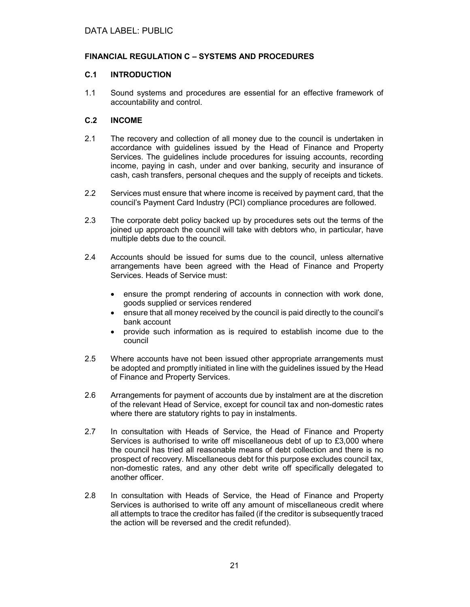## FINANCIAL REGULATION C – SYSTEMS AND PROCEDURES

## C.1 INTRODUCTION

1.1 Sound systems and procedures are essential for an effective framework of accountability and control.

## C.2 INCOME

- 2.1 The recovery and collection of all money due to the council is undertaken in accordance with guidelines issued by the Head of Finance and Property Services. The guidelines include procedures for issuing accounts, recording income, paying in cash, under and over banking, security and insurance of cash, cash transfers, personal cheques and the supply of receipts and tickets.
- 2.2 Services must ensure that where income is received by payment card, that the council's Payment Card Industry (PCI) compliance procedures are followed.
- 2.3 The corporate debt policy backed up by procedures sets out the terms of the joined up approach the council will take with debtors who, in particular, have multiple debts due to the council.
- 2.4 Accounts should be issued for sums due to the council, unless alternative arrangements have been agreed with the Head of Finance and Property Services. Heads of Service must:
	- ensure the prompt rendering of accounts in connection with work done, goods supplied or services rendered
	- ensure that all money received by the council is paid directly to the council's bank account
	- provide such information as is required to establish income due to the council
- 2.5 Where accounts have not been issued other appropriate arrangements must be adopted and promptly initiated in line with the guidelines issued by the Head of Finance and Property Services.
- 2.6 Arrangements for payment of accounts due by instalment are at the discretion of the relevant Head of Service, except for council tax and non-domestic rates where there are statutory rights to pay in instalments.
- 2.7 In consultation with Heads of Service, the Head of Finance and Property Services is authorised to write off miscellaneous debt of up to £3,000 where the council has tried all reasonable means of debt collection and there is no prospect of recovery. Miscellaneous debt for this purpose excludes council tax, non-domestic rates, and any other debt write off specifically delegated to another officer.
- 2.8 In consultation with Heads of Service, the Head of Finance and Property Services is authorised to write off any amount of miscellaneous credit where all attempts to trace the creditor has failed (if the creditor is subsequently traced the action will be reversed and the credit refunded).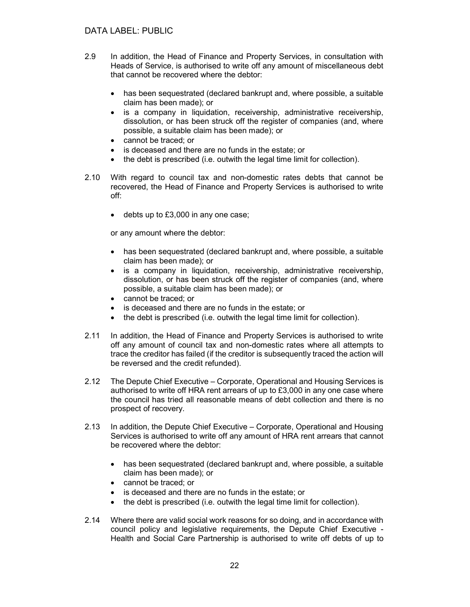- 2.9 In addition, the Head of Finance and Property Services, in consultation with Heads of Service, is authorised to write off any amount of miscellaneous debt that cannot be recovered where the debtor:
	- has been sequestrated (declared bankrupt and, where possible, a suitable claim has been made); or
	- is a company in liquidation, receivership, administrative receivership, dissolution, or has been struck off the register of companies (and, where possible, a suitable claim has been made); or
	- cannot be traced: or
	- is deceased and there are no funds in the estate; or
	- the debt is prescribed (i.e. outwith the legal time limit for collection).
- 2.10 With regard to council tax and non-domestic rates debts that cannot be recovered, the Head of Finance and Property Services is authorised to write off:
	- debts up to £3,000 in any one case;

or any amount where the debtor:

- has been sequestrated (declared bankrupt and, where possible, a suitable claim has been made); or
- is a company in liquidation, receivership, administrative receivership, dissolution, or has been struck off the register of companies (and, where possible, a suitable claim has been made); or
- cannot be traced; or
- is deceased and there are no funds in the estate; or
- the debt is prescribed (i.e. outwith the legal time limit for collection).
- 2.11 In addition, the Head of Finance and Property Services is authorised to write off any amount of council tax and non-domestic rates where all attempts to trace the creditor has failed (if the creditor is subsequently traced the action will be reversed and the credit refunded).
- 2.12 The Depute Chief Executive Corporate, Operational and Housing Services is authorised to write off HRA rent arrears of up to £3,000 in any one case where the council has tried all reasonable means of debt collection and there is no prospect of recovery.
- 2.13 In addition, the Depute Chief Executive Corporate, Operational and Housing Services is authorised to write off any amount of HRA rent arrears that cannot be recovered where the debtor:
	- has been sequestrated (declared bankrupt and, where possible, a suitable claim has been made); or
	- cannot be traced: or
	- is deceased and there are no funds in the estate; or
	- the debt is prescribed (i.e. outwith the legal time limit for collection).
- 2.14 Where there are valid social work reasons for so doing, and in accordance with council policy and legislative requirements, the Depute Chief Executive - Health and Social Care Partnership is authorised to write off debts of up to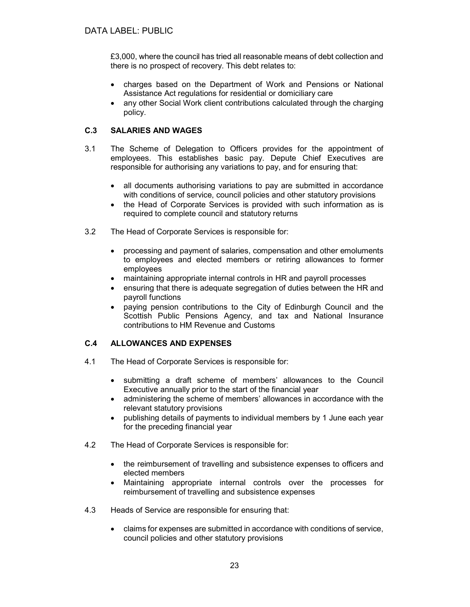£3,000, where the council has tried all reasonable means of debt collection and there is no prospect of recovery. This debt relates to:

- charges based on the Department of Work and Pensions or National Assistance Act regulations for residential or domiciliary care
- any other Social Work client contributions calculated through the charging policy.

## C.3 SALARIES AND WAGES

- 3.1 The Scheme of Delegation to Officers provides for the appointment of employees. This establishes basic pay. Depute Chief Executives are responsible for authorising any variations to pay, and for ensuring that:
	- all documents authorising variations to pay are submitted in accordance with conditions of service, council policies and other statutory provisions
	- the Head of Corporate Services is provided with such information as is required to complete council and statutory returns
- 3.2 The Head of Corporate Services is responsible for:
	- processing and payment of salaries, compensation and other emoluments to employees and elected members or retiring allowances to former employees
	- maintaining appropriate internal controls in HR and payroll processes
	- ensuring that there is adequate segregation of duties between the HR and payroll functions
	- paying pension contributions to the City of Edinburgh Council and the Scottish Public Pensions Agency, and tax and National Insurance contributions to HM Revenue and Customs

## C.4 ALLOWANCES AND EXPENSES

- 4.1 The Head of Corporate Services is responsible for:
	- submitting a draft scheme of members' allowances to the Council Executive annually prior to the start of the financial year
	- administering the scheme of members' allowances in accordance with the relevant statutory provisions
	- publishing details of payments to individual members by 1 June each year for the preceding financial year
- 4.2 The Head of Corporate Services is responsible for:
	- the reimbursement of travelling and subsistence expenses to officers and elected members
	- Maintaining appropriate internal controls over the processes for reimbursement of travelling and subsistence expenses
- 4.3 Heads of Service are responsible for ensuring that:
	- claims for expenses are submitted in accordance with conditions of service, council policies and other statutory provisions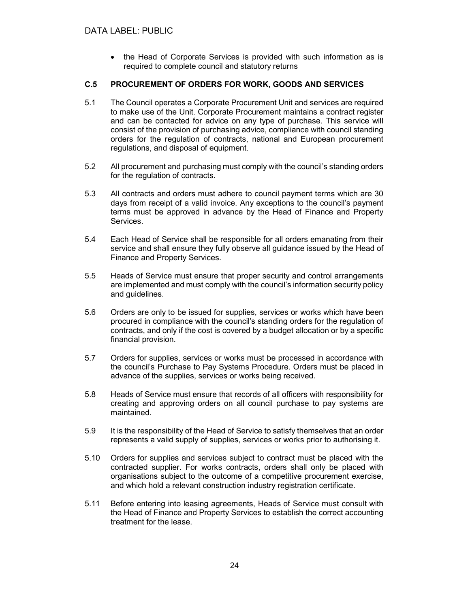• the Head of Corporate Services is provided with such information as is required to complete council and statutory returns

## C.5 PROCUREMENT OF ORDERS FOR WORK, GOODS AND SERVICES

- 5.1 The Council operates a Corporate Procurement Unit and services are required to make use of the Unit. Corporate Procurement maintains a contract register and can be contacted for advice on any type of purchase. This service will consist of the provision of purchasing advice, compliance with council standing orders for the regulation of contracts, national and European procurement regulations, and disposal of equipment.
- 5.2 All procurement and purchasing must comply with the council's standing orders for the regulation of contracts.
- 5.3 All contracts and orders must adhere to council payment terms which are 30 days from receipt of a valid invoice. Any exceptions to the council's payment terms must be approved in advance by the Head of Finance and Property Services.
- 5.4 Each Head of Service shall be responsible for all orders emanating from their service and shall ensure they fully observe all guidance issued by the Head of Finance and Property Services.
- 5.5 Heads of Service must ensure that proper security and control arrangements are implemented and must comply with the council's information security policy and guidelines.
- 5.6 Orders are only to be issued for supplies, services or works which have been procured in compliance with the council's standing orders for the regulation of contracts, and only if the cost is covered by a budget allocation or by a specific financial provision.
- 5.7 Orders for supplies, services or works must be processed in accordance with the council's Purchase to Pay Systems Procedure. Orders must be placed in advance of the supplies, services or works being received.
- 5.8 Heads of Service must ensure that records of all officers with responsibility for creating and approving orders on all council purchase to pay systems are maintained.
- 5.9 It is the responsibility of the Head of Service to satisfy themselves that an order represents a valid supply of supplies, services or works prior to authorising it.
- 5.10 Orders for supplies and services subject to contract must be placed with the contracted supplier. For works contracts, orders shall only be placed with organisations subject to the outcome of a competitive procurement exercise, and which hold a relevant construction industry registration certificate.
- 5.11 Before entering into leasing agreements, Heads of Service must consult with the Head of Finance and Property Services to establish the correct accounting treatment for the lease.